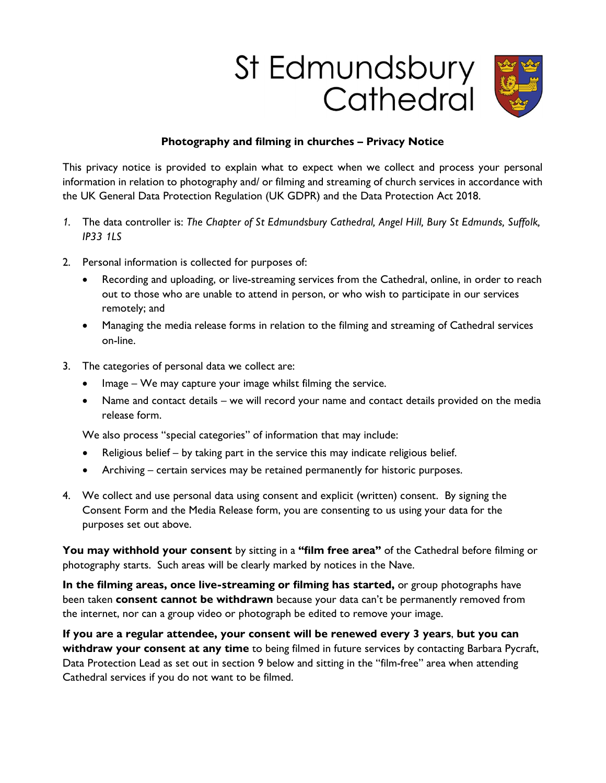## St Edmundsbury Cathedral



## Photography and filming in churches – Privacy Notice

This privacy notice is provided to explain what to expect when we collect and process your personal information in relation to photography and/ or filming and streaming of church services in accordance with the UK General Data Protection Regulation (UK GDPR) and the Data Protection Act 2018.

- 1. The data controller is: The Chapter of St Edmundsbury Cathedral, Angel Hill, Bury St Edmunds, Suffolk, IP33 1LS
- 2. Personal information is collected for purposes of:
	- Recording and uploading, or live-streaming services from the Cathedral, online, in order to reach out to those who are unable to attend in person, or who wish to participate in our services remotely; and
	- Managing the media release forms in relation to the filming and streaming of Cathedral services on-line.
- 3. The categories of personal data we collect are:
	- Image We may capture your image whilst filming the service.
	- Name and contact details we will record your name and contact details provided on the media release form.

We also process "special categories" of information that may include:

- Religious belief by taking part in the service this may indicate religious belief.
- Archiving certain services may be retained permanently for historic purposes.
- 4. We collect and use personal data using consent and explicit (written) consent. By signing the Consent Form and the Media Release form, you are consenting to us using your data for the purposes set out above.

You may withhold your consent by sitting in a "film free area" of the Cathedral before filming or photography starts. Such areas will be clearly marked by notices in the Nave.

In the filming areas, once live-streaming or filming has started, or group photographs have been taken consent cannot be withdrawn because your data can't be permanently removed from the internet, nor can a group video or photograph be edited to remove your image.

If you are a regular attendee, your consent will be renewed every 3 years, but you can withdraw your consent at any time to being filmed in future services by contacting Barbara Pycraft, Data Protection Lead as set out in section 9 below and sitting in the "film-free" area when attending Cathedral services if you do not want to be filmed.